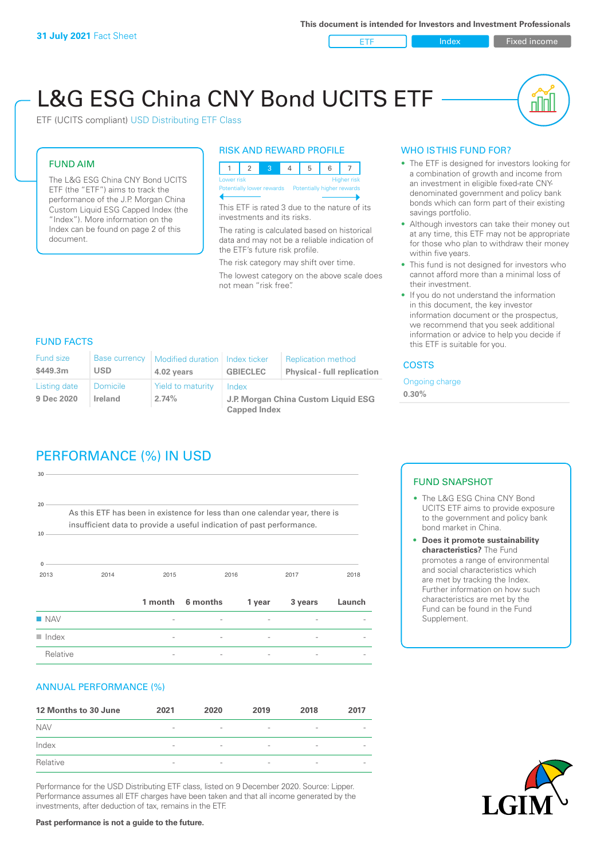**ETF Index Fixed income** 

# L&G ESG China CNY Bond UCITS ETF

ETF (UCITS compliant) USD Distributing ETF Class

#### FUND AIM

The L&G ESG China CNY Bond UCITS ETF (the "ETF") aims to track the performance of the J.P. Morgan China Custom Liquid ESG Capped Index (the "Index"). More information on the Index can be found on page 2 of this document.

#### RISK AND REWARD PROFILE



This ETF is rated 3 due to the nature of its investments and its risks.

The rating is calculated based on historical data and may not be a reliable indication of the ETF's future risk profile.

The risk category may shift over time. The lowest category on the above scale does not mean "risk free".

#### WHO IS THIS FUND FOR?

- The ETF is designed for investors looking for a combination of growth and income from an investment in eligible fixed-rate CNYdenominated government and policy bank bonds which can form part of their existing savings portfolio.
- Although investors can take their money out at any time, this ETF may not be appropriate for those who plan to withdraw their money within five years.
- This fund is not designed for investors who cannot afford more than a minimal loss of their investment.
- If you do not understand the information in this document, the key investor information document or the prospectus, we recommend that you seek additional information or advice to help you decide if this ETF is suitable for you.

#### FUND FACTS

| <b>Fund size</b><br>\$449.3m | <b>Base currency</b><br>USD | Modified duration   Index ticker<br>4.02 years | <b>GBIECLEC</b>                              | <b>Replication method</b><br><b>Physical - full replication</b> | <b>COSTS</b>               |
|------------------------------|-----------------------------|------------------------------------------------|----------------------------------------------|-----------------------------------------------------------------|----------------------------|
| Listing date<br>9 Dec 2020   | <b>Domicile</b><br>Ireland  | Yield to maturity<br>2.74%                     | Index<br>J.P. Morgan China Custom Liquid ESG |                                                                 | Ongoing charge<br>$0.30\%$ |
|                              |                             |                                                | <b>Capped Index</b>                          |                                                                 |                            |

# PERFORMANCE (%) IN USD

2013 2014 2015 2016 2017 2018 **0 10 20 30** As this ETF has been in existence for less than one calendar year, there is insufficient data to provide a useful indication of past performance. **1 month 6 months 1 year 3 years Launch** n NAV - - - - -  $\blacksquare$  Index  $\blacksquare$ Relative **Relation Community Community**  $\frac{1}{2}$  **Fig. 2** -  $\frac{1}{2}$  -  $\frac{1}{2}$  -  $\frac{1}{2}$  -  $\frac{1}{2}$  -  $\frac{1}{2}$  -  $\frac{1}{2}$  -  $\frac{1}{2}$  -  $\frac{1}{2}$  -  $\frac{1}{2}$  -  $\frac{1}{2}$  -  $\frac{1}{2}$  -  $\frac{1}{2}$  -  $\frac{1}{2}$  -  $\frac{1$ 

#### ANNUAL PERFORMANCE (%)

| 12 Months to 30 June | 2021                     | 2020                     | 2019                     | 2018                     | 2017                     |
|----------------------|--------------------------|--------------------------|--------------------------|--------------------------|--------------------------|
| <b>NAV</b>           | $\overline{\phantom{a}}$ | $\sim$                   | $\overline{\phantom{a}}$ | $\qquad \qquad$          | $\overline{\phantom{a}}$ |
| Index                | $\qquad \qquad$          | $\qquad \qquad$          | $\overline{\phantom{a}}$ | $\qquad \qquad$          | $\overline{\phantom{a}}$ |
| Relative             | $\overline{\phantom{a}}$ | $\overline{\phantom{a}}$ | $\overline{\phantom{a}}$ | $\overline{\phantom{0}}$ | $\overline{\phantom{a}}$ |

Performance for the USD Distributing ETF class, listed on 9 December 2020. Source: Lipper. Performance assumes all ETF charges have been taken and that all income generated by the investments, after deduction of tax, remains in the ETF.

#### FUND SNAPSHOT

- The L&G ESG China CNY Bond UCITS ETF aims to provide exposure to the government and policy bank bond market in China.
- **• Does it promote sustainability characteristics?** The Fund promotes a range of environmental and social characteristics which are met by tracking the Index. Further information on how such characteristics are met by the Fund can be found in the Fund Supplement.



**Past performance is not a guide to the future.**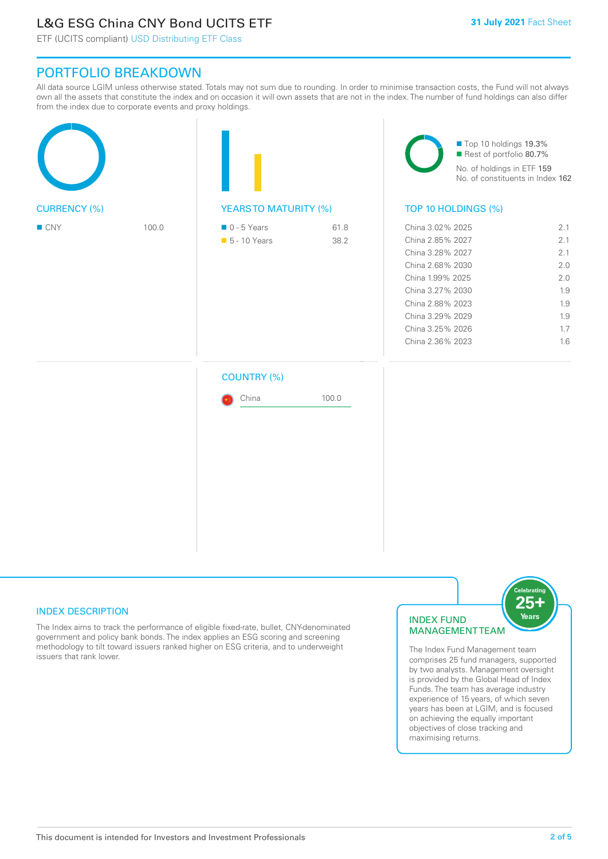# L&G ESG China CNY Bond UCITS ETF

ETF (UCITS compliant) USD Distributing ETF Class

## PORTFOLIO BREAKDOWN

All data source LGIM unless otherwise stated. Totals may not sum due to rounding. In order to minimise transaction costs, the Fund will not always own all the assets that constitute the index and on occasion it will own assets that are not in the index. The number of fund holdings can also differ from the index due to corporate events and proxy holdings.

|                     |       |                                              |              | Top 10 holdings 19.3%<br>Rest of portfolio 80.7%<br>No. of holdings in ETF 159<br>No. of constituents in Index 162                                                                                   |                                                                    |  |
|---------------------|-------|----------------------------------------------|--------------|------------------------------------------------------------------------------------------------------------------------------------------------------------------------------------------------------|--------------------------------------------------------------------|--|
| <b>CURRENCY (%)</b> |       | <b>YEARSTO MATURITY (%)</b>                  |              | TOP 10 HOLDINGS (%)                                                                                                                                                                                  |                                                                    |  |
| $\blacksquare$ CNY  | 100.0 | $\blacksquare$ 0 - 5 Years<br>• 5 - 10 Years | 61.8<br>38.2 | China 3.02% 2025<br>China 2.85% 2027<br>China 3.28% 2027<br>China 2.68% 2030<br>China 1.99% 2025<br>China 3.27% 2030<br>China 2.88% 2023<br>China 3.29% 2029<br>China 3.25% 2026<br>China 2.36% 2023 | 2.1<br>2.1<br>2.1<br>2.0<br>2.0<br>1.9<br>1.9<br>1.9<br>1.7<br>1.6 |  |
|                     |       | <b>COUNTRY (%)</b><br>China                  | 100.0        |                                                                                                                                                                                                      |                                                                    |  |

#### INDEX DESCRIPTION

The Index aims to track the performance of eligible fixed-rate, bullet, CNY-denominated government and policy bank bonds. The index applies an ESG scoring and screening methodology to tilt toward issuers ranked higher on ESG criteria, and to underweight issuers that rank lower.

#### INDEX FUND MANAGEMENT TEAM



The Index Fund Management team comprises 25 fund managers, supported by two analysts. Management oversight is provided by the Global Head of Index Funds. The team has average industry experience of 15 years, of which seven years has been at LGIM, and is focused on achieving the equally important objectives of close tracking and maximising returns.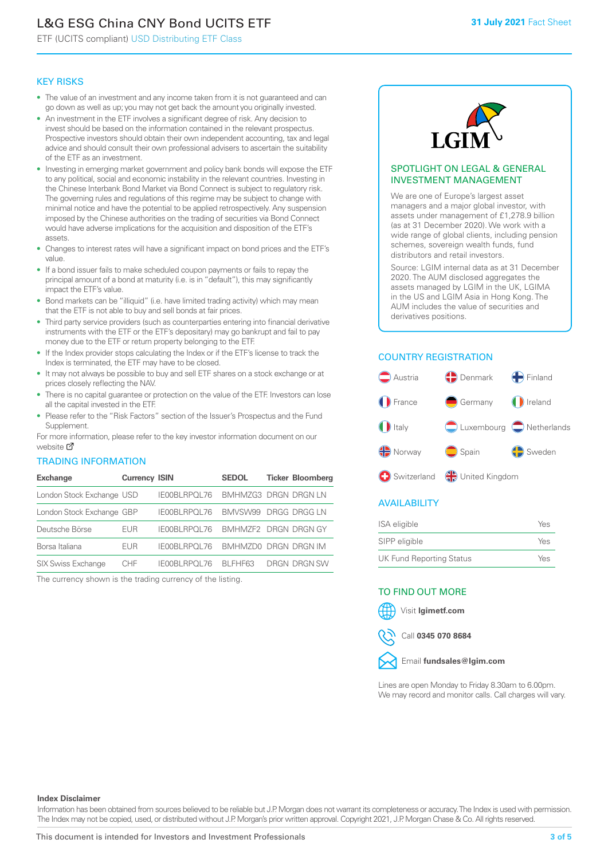# L&G ESG China CNY Bond UCITS ETF

ETF (UCITS compliant) USD Distributing ETF Class

#### KEY RISKS

- The value of an investment and any income taken from it is not guaranteed and can go down as well as up; you may not get back the amount you originally invested.
- An investment in the ETF involves a significant degree of risk. Any decision to invest should be based on the information contained in the relevant prospectus. Prospective investors should obtain their own independent accounting, tax and legal advice and should consult their own professional advisers to ascertain the suitability of the ETF as an investment.
- Investing in emerging market government and policy bank bonds will expose the ETF to any political, social and economic instability in the relevant countries. Investing in the Chinese Interbank Bond Market via Bond Connect is subject to regulatory risk. The governing rules and regulations of this regime may be subject to change with minimal notice and have the potential to be applied retrospectively. Any suspension imposed by the Chinese authorities on the trading of securities via Bond Connect would have adverse implications for the acquisition and disposition of the ETF's assets.
- Changes to interest rates will have a significant impact on bond prices and the ETF's value.
- If a bond issuer fails to make scheduled coupon payments or fails to repay the principal amount of a bond at maturity (i.e. is in "default"), this may significantly impact the ETF's value.
- Bond markets can be "illiquid" (i.e. have limited trading activity) which may mean that the ETF is not able to buy and sell bonds at fair prices.
- Third party service providers (such as counterparties entering into financial derivative instruments with the ETF or the ETF's depositary) may go bankrupt and fail to pay money due to the ETF or return property belonging to the ETF.
- If the Index provider stops calculating the Index or if the ETF's license to track the Index is terminated, the ETF may have to be closed.
- It may not always be possible to buy and sell ETF shares on a stock exchange or at prices closely reflecting the NAV.
- There is no capital guarantee or protection on the value of the ETF. Investors can lose all the capital invested in the ETF.
- Please refer to the "Risk Factors" section of the Issuer's Prospectus and the Fund Supplement.

For mo[re inf](https://www.lgimetf.com/)ormation, please refer to the key investor information document on our website M

#### TRADING INFORMATION

| <b>Exchange</b>           | <b>Currency ISIN</b> |                       | <b>SEDOL</b>                | <b>Ticker Bloomberg</b> |
|---------------------------|----------------------|-----------------------|-----------------------------|-------------------------|
| London Stock Exchange USD |                      | IE00BLRPOL76          | <b>BMHMZG3 DRGN DRGN LN</b> |                         |
| London Stock Exchange GBP |                      | IE00BLRPOL76          | BMVSW99 DRGG DRGG LN        |                         |
| Deutsche Börse            | EUR                  | <b>IFOOBL RPOL 76</b> | BMHMZF2 DRGN DRGN GY        |                         |
| Borsa Italiana            | <b>EUR</b>           | IE00BLRPOL76          | BMHMZD0 DRGN DRGN IM        |                         |
| <b>SIX Swiss Exchange</b> | CHF.                 | IE00BLRPOL76          | BI FHF63                    | DRGN DRGN SW            |

The currency shown is the trading currency of the listing.



#### SPOTLIGHT ON LEGAL & GENERAL INVESTMENT MANAGEMENT

We are one of Europe's largest asset managers and a major global investor, with assets under management of £1,278.9 billion (as at 31 December 2020). We work with a wide range of global clients, including pension schemes, sovereign wealth funds, fund distributors and retail investors.

Source: LGIM internal data as at 31 December 2020. The AUM disclosed aggregates the assets managed by LGIM in the UK, LGIMA in the US and LGIM Asia in Hong Kong. The AUM includes the value of securities and derivatives positions.

### COUNTRY REGISTRATION



#### AVAILABILITY

| ISA eligible                    | Yes |
|---------------------------------|-----|
| SIPP eligible                   | Yes |
| <b>UK Fund Reporting Status</b> | Yes |

#### TO FIND OUT MORE





Call **0345 070 8684**



Lines are open Monday to Friday 8.30am to 6.00pm. We may record and monitor calls. Call charges will vary.

#### **Index Disclaimer**

Information has been obtained from sources believed to be reliable but J.P. Morgan does not warrant its completeness or accuracy. The Index is used with permission. The Index may not be copied, used, or distributed without J.P. Morgan's prior written approval. Copyright 2021, J.P. Morgan Chase & Co. All rights reserved.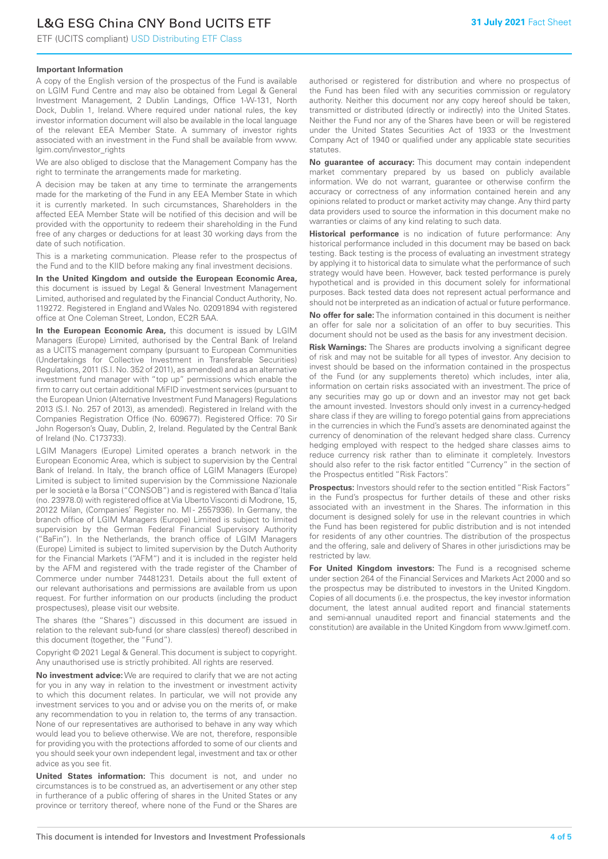# L&G ESG China CNY Bond UCITS ETF

ETF (UCITS compliant) USD Distributing ETF Class

#### **Important Information**

A copy of the English version of the prospectus of the Fund is available on LGIM Fund Centre and may also be obtained from Legal & General Investment Management, 2 Dublin Landings, Office 1-W-131, North Dock, Dublin 1, Ireland. Where required under national rules, the key investor information document will also be available in the local language of the relevant EEA Member State. A summary of investor rights associated with an investment in the Fund shall be available from www. lgim.com/investor\_rights

We are also obliged to disclose that the Management Company has the right to terminate the arrangements made for marketing.

A decision may be taken at any time to terminate the arrangements made for the marketing of the Fund in any EEA Member State in which it is currently marketed. In such circumstances, Shareholders in the affected EEA Member State will be notified of this decision and will be provided with the opportunity to redeem their shareholding in the Fund free of any charges or deductions for at least 30 working days from the date of such notification.

This is a marketing communication. Please refer to the prospectus of the Fund and to the KIID before making any final investment decisions.

**In the United Kingdom and outside the European Economic Area,** this document is issued by Legal & General Investment Management Limited, authorised and regulated by the Financial Conduct Authority, No. 119272. Registered in England and Wales No. 02091894 with registered office at One Coleman Street, London, EC2R 5AA.

**In the European Economic Area,** this document is issued by LGIM Managers (Europe) Limited, authorised by the Central Bank of Ireland as a UCITS management company (pursuant to European Communities (Undertakings for Collective Investment in Transferable Securities) Regulations, 2011 (S.I. No. 352 of 2011), as amended) and as an alternative investment fund manager with "top up" permissions which enable the firm to carry out certain additional MiFID investment services (pursuant to the European Union (Alternative Investment Fund Managers) Regulations 2013 (S.I. No. 257 of 2013), as amended). Registered in Ireland with the Companies Registration Office (No. 609677). Registered Office: 70 Sir John Rogerson's Quay, Dublin, 2, Ireland. Regulated by the Central Bank of Ireland (No. C173733).

LGIM Managers (Europe) Limited operates a branch network in the European Economic Area, which is subject to supervision by the Central Bank of Ireland. In Italy, the branch office of LGIM Managers (Europe) Limited is subject to limited supervision by the Commissione Nazionale per le società e la Borsa ("CONSOB") and is registered with Banca d'Italia (no. 23978.0) with registered office at Via Uberto Visconti di Modrone, 15, 20122 Milan, (Companies' Register no. MI - 2557936). In Germany, the branch office of LGIM Managers (Europe) Limited is subject to limited supervision by the German Federal Financial Supervisory Authority ("BaFin"). In the Netherlands, the branch office of LGIM Managers (Europe) Limited is subject to limited supervision by the Dutch Authority for the Financial Markets ("AFM") and it is included in the register held by the AFM and registered with the trade register of the Chamber of Commerce under number 74481231. Details about the full extent of our relevant authorisations and permissions are available from us upon request. For further information on our products (including the product prospectuses), please visit our website.

The shares (the "Shares") discussed in this document are issued in relation to the relevant sub-fund (or share class(es) thereof) described in this document (together, the "Fund").

Copyright © 2021 Legal & General. This document is subject to copyright. Any unauthorised use is strictly prohibited. All rights are reserved.

**No investment advice:** We are required to clarify that we are not acting for you in any way in relation to the investment or investment activity to which this document relates. In particular, we will not provide any investment services to you and or advise you on the merits of, or make any recommendation to you in relation to, the terms of any transaction. None of our representatives are authorised to behave in any way which would lead you to believe otherwise. We are not, therefore, responsible for providing you with the protections afforded to some of our clients and you should seek your own independent legal, investment and tax or other advice as you see fit.

**United States information:** This document is not, and under no circumstances is to be construed as, an advertisement or any other step in furtherance of a public offering of shares in the United States or any province or territory thereof, where none of the Fund or the Shares are authorised or registered for distribution and where no prospectus of the Fund has been filed with any securities commission or regulatory authority. Neither this document nor any copy hereof should be taken, transmitted or distributed (directly or indirectly) into the United States. Neither the Fund nor any of the Shares have been or will be registered under the United States Securities Act of 1933 or the Investment Company Act of 1940 or qualified under any applicable state securities statutes.

**No guarantee of accuracy:** This document may contain independent market commentary prepared by us based on publicly available information. We do not warrant, guarantee or otherwise confirm the accuracy or correctness of any information contained herein and any opinions related to product or market activity may change. Any third party data providers used to source the information in this document make no warranties or claims of any kind relating to such data.

**Historical performance** is no indication of future performance: Any historical performance included in this document may be based on back testing. Back testing is the process of evaluating an investment strategy by applying it to historical data to simulate what the performance of such strategy would have been. However, back tested performance is purely hypothetical and is provided in this document solely for informational purposes. Back tested data does not represent actual performance and should not be interpreted as an indication of actual or future performance.

**No offer for sale:** The information contained in this document is neither an offer for sale nor a solicitation of an offer to buy securities. This document should not be used as the basis for any investment decision.

**Risk Warnings:** The Shares are products involving a significant degree of risk and may not be suitable for all types of investor. Any decision to invest should be based on the information contained in the prospectus of the Fund (or any supplements thereto) which includes, inter alia, information on certain risks associated with an investment. The price of any securities may go up or down and an investor may not get back the amount invested. Investors should only invest in a currency-hedged share class if they are willing to forego potential gains from appreciations in the currencies in which the Fund's assets are denominated against the currency of denomination of the relevant hedged share class. Currency hedging employed with respect to the hedged share classes aims to reduce currency risk rather than to eliminate it completely. Investors should also refer to the risk factor entitled "Currency" in the section of the Prospectus entitled "Risk Factors".

**Prospectus:** Investors should refer to the section entitled "Risk Factors" in the Fund's prospectus for further details of these and other risks associated with an investment in the Shares. The information in this document is designed solely for use in the relevant countries in which the Fund has been registered for public distribution and is not intended for residents of any other countries. The distribution of the prospectus and the offering, sale and delivery of Shares in other jurisdictions may be restricted by law.

**For United Kingdom investors:** The Fund is a recognised scheme under section 264 of the Financial Services and Markets Act 2000 and so the prospectus may be distributed to investors in the United Kingdom. Copies of all documents (i.e. the prospectus, the key investor information document, the latest annual audited report and financial statements and semi-annual unaudited report and financial statements and the constitution) are available in the United Kingdom from www.lgimetf.com.